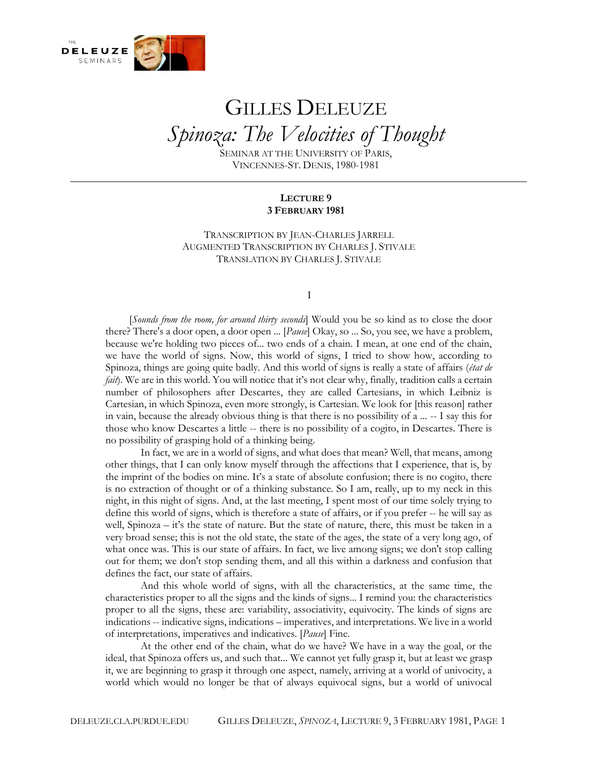

## GILLES DELEUZE *Spinoza: The Velocities of Thought*

SEMINAR AT THE UNIVERSITY OF PARIS, VINCENNES-ST. DENIS, 1980-1981

**\_\_\_\_\_\_\_\_\_\_\_\_\_\_\_\_\_\_\_\_\_\_\_\_\_\_\_\_\_\_\_\_\_\_\_\_\_\_\_\_\_\_\_\_\_\_\_\_\_\_\_\_\_\_\_\_\_\_\_\_\_\_\_\_\_\_\_\_\_\_\_\_\_\_\_\_\_\_\_\_\_\_\_\_\_**

## **LECTURE 9 3 FEBRUARY 1981**

TRANSCRIPTION BY JEAN-CHARLES JARRELL AUGMENTED TRANSCRIPTION BY CHARLES J. STIVALE TRANSLATION BY CHARLES J. STIVALE

I

[*Sounds from the room, for around thirty seconds*] Would you be so kind as to close the door there? There's a door open, a door open ... [*Pause*] Okay, so ... So, you see, we have a problem, because we're holding two pieces of... two ends of a chain. I mean, at one end of the chain, we have the world of signs. Now, this world of signs, I tried to show how, according to Spinoza, things are going quite badly. And this world of signs is really a state of affairs (*état de fait*). We are in this world. You will notice that it's not clear why, finally, tradition calls a certain number of philosophers after Descartes, they are called Cartesians, in which Leibniz is Cartesian, in which Spinoza, even more strongly, is Cartesian. We look for [this reason] rather in vain, because the already obvious thing is that there is no possibility of a ... -- I say this for those who know Descartes a little -- there is no possibility of a cogito, in Descartes. There is no possibility of grasping hold of a thinking being.

In fact, we are in a world of signs, and what does that mean? Well, that means, among other things, that I can only know myself through the affections that I experience, that is, by the imprint of the bodies on mine. It's a state of absolute confusion; there is no cogito, there is no extraction of thought or of a thinking substance. So I am, really, up to my neck in this night, in this night of signs. And, at the last meeting, I spent most of our time solely trying to define this world of signs, which is therefore a state of affairs, or if you prefer -- he will say as well, Spinoza – it's the state of nature. But the state of nature, there, this must be taken in a very broad sense; this is not the old state, the state of the ages, the state of a very long ago, of what once was. This is our state of affairs. In fact, we live among signs; we don't stop calling out for them; we don't stop sending them, and all this within a darkness and confusion that defines the fact, our state of affairs.

And this whole world of signs, with all the characteristics, at the same time, the characteristics proper to all the signs and the kinds of signs... I remind you: the characteristics proper to all the signs, these are: variability, associativity, equivocity. The kinds of signs are indications -- indicative signs, indications – imperatives, and interpretations. We live in a world of interpretations, imperatives and indicatives. [*Pause*] Fine.

At the other end of the chain, what do we have? We have in a way the goal, or the ideal, that Spinoza offers us, and such that... We cannot yet fully grasp it, but at least we grasp it, we are beginning to grasp it through one aspect, namely, arriving at a world of univocity, a world which would no longer be that of always equivocal signs, but a world of univocal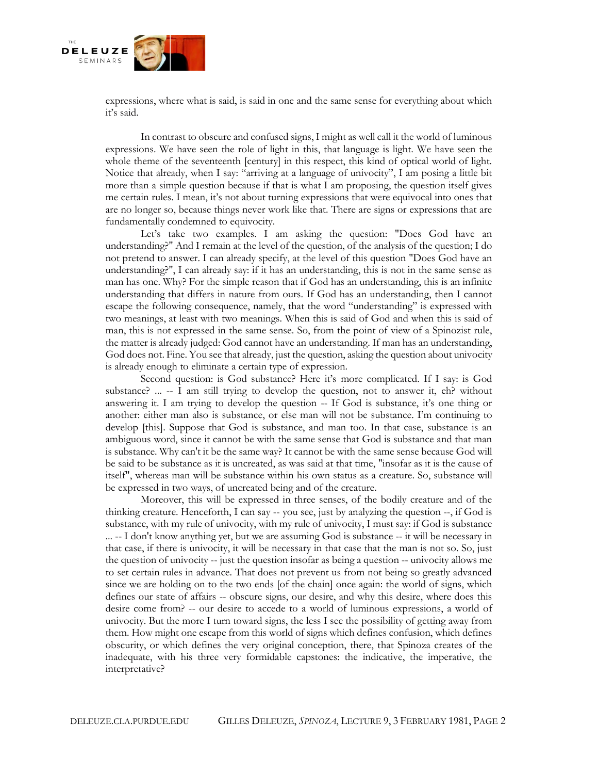

expressions, where what is said, is said in one and the same sense for everything about which it's said.

In contrast to obscure and confused signs, I might as well call it the world of luminous expressions. We have seen the role of light in this, that language is light. We have seen the whole theme of the seventeenth [century] in this respect, this kind of optical world of light. Notice that already, when I say: "arriving at a language of univocity", I am posing a little bit more than a simple question because if that is what I am proposing, the question itself gives me certain rules. I mean, it's not about turning expressions that were equivocal into ones that are no longer so, because things never work like that. There are signs or expressions that are fundamentally condemned to equivocity.

Let's take two examples. I am asking the question: "Does God have an understanding?" And I remain at the level of the question, of the analysis of the question; I do not pretend to answer. I can already specify, at the level of this question "Does God have an understanding?", I can already say: if it has an understanding, this is not in the same sense as man has one. Why? For the simple reason that if God has an understanding, this is an infinite understanding that differs in nature from ours. If God has an understanding, then I cannot escape the following consequence, namely, that the word "understanding" is expressed with two meanings, at least with two meanings. When this is said of God and when this is said of man, this is not expressed in the same sense. So, from the point of view of a Spinozist rule, the matter is already judged: God cannot have an understanding. If man has an understanding, God does not. Fine. You see that already, just the question, asking the question about univocity is already enough to eliminate a certain type of expression.

Second question: is God substance? Here it's more complicated. If I say: is God substance? ... -- I am still trying to develop the question, not to answer it, eh? without answering it. I am trying to develop the question -- If God is substance, it's one thing or another: either man also is substance, or else man will not be substance. I'm continuing to develop [this]. Suppose that God is substance, and man too. In that case, substance is an ambiguous word, since it cannot be with the same sense that God is substance and that man is substance. Why can't it be the same way? It cannot be with the same sense because God will be said to be substance as it is uncreated, as was said at that time, "insofar as it is the cause of itself", whereas man will be substance within his own status as a creature. So, substance will be expressed in two ways, of uncreated being and of the creature.

Moreover, this will be expressed in three senses, of the bodily creature and of the thinking creature. Henceforth, I can say -- you see, just by analyzing the question --, if God is substance, with my rule of univocity, with my rule of univocity, I must say: if God is substance ... -- I don't know anything yet, but we are assuming God is substance -- it will be necessary in that case, if there is univocity, it will be necessary in that case that the man is not so. So, just the question of univocity -- just the question insofar as being a question -- univocity allows me to set certain rules in advance. That does not prevent us from not being so greatly advanced since we are holding on to the two ends [of the chain] once again: the world of signs, which defines our state of affairs -- obscure signs, our desire, and why this desire, where does this desire come from? -- our desire to accede to a world of luminous expressions, a world of univocity. But the more I turn toward signs, the less I see the possibility of getting away from them. How might one escape from this world of signs which defines confusion, which defines obscurity, or which defines the very original conception, there, that Spinoza creates of the inadequate, with his three very formidable capstones: the indicative, the imperative, the interpretative?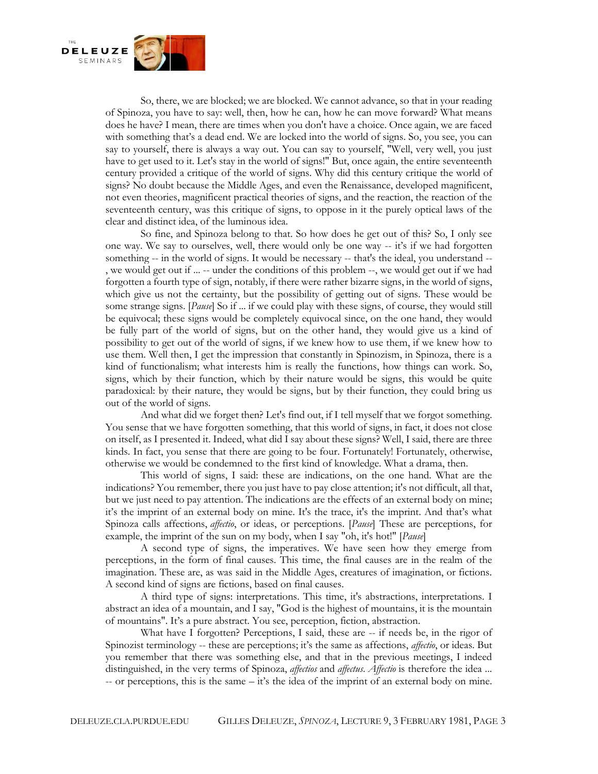

So, there, we are blocked; we are blocked. We cannot advance, so that in your reading of Spinoza, you have to say: well, then, how he can, how he can move forward? What means does he have? I mean, there are times when you don't have a choice. Once again, we are faced with something that's a dead end. We are locked into the world of signs. So, you see, you can say to yourself, there is always a way out. You can say to yourself, "Well, very well, you just have to get used to it. Let's stay in the world of signs!" But, once again, the entire seventeenth century provided a critique of the world of signs. Why did this century critique the world of signs? No doubt because the Middle Ages, and even the Renaissance, developed magnificent, not even theories, magnificent practical theories of signs, and the reaction, the reaction of the seventeenth century, was this critique of signs, to oppose in it the purely optical laws of the clear and distinct idea, of the luminous idea.

So fine, and Spinoza belong to that. So how does he get out of this? So, I only see one way. We say to ourselves, well, there would only be one way -- it's if we had forgotten something -- in the world of signs. It would be necessary -- that's the ideal, you understand --, we would get out if ... -- under the conditions of this problem --, we would get out if we had forgotten a fourth type of sign, notably, if there were rather bizarre signs, in the world of signs, which give us not the certainty, but the possibility of getting out of signs. These would be some strange signs. [*Pause*] So if ... if we could play with these signs, of course, they would still be equivocal; these signs would be completely equivocal since, on the one hand, they would be fully part of the world of signs, but on the other hand, they would give us a kind of possibility to get out of the world of signs, if we knew how to use them, if we knew how to use them. Well then, I get the impression that constantly in Spinozism, in Spinoza, there is a kind of functionalism; what interests him is really the functions, how things can work. So, signs, which by their function, which by their nature would be signs, this would be quite paradoxical: by their nature, they would be signs, but by their function, they could bring us out of the world of signs.

And what did we forget then? Let's find out, if I tell myself that we forgot something. You sense that we have forgotten something, that this world of signs, in fact, it does not close on itself, as I presented it. Indeed, what did I say about these signs? Well, I said, there are three kinds. In fact, you sense that there are going to be four. Fortunately! Fortunately, otherwise, otherwise we would be condemned to the first kind of knowledge. What a drama, then.

This world of signs, I said: these are indications, on the one hand. What are the indications? You remember, there you just have to pay close attention; it's not difficult, all that, but we just need to pay attention. The indications are the effects of an external body on mine; it's the imprint of an external body on mine. It's the trace, it's the imprint. And that's what Spinoza calls affections, *affectio*, or ideas, or perceptions. [*Pause*] These are perceptions, for example, the imprint of the sun on my body, when I say "oh, it's hot!" [*Pause*]

A second type of signs, the imperatives. We have seen how they emerge from perceptions, in the form of final causes. This time, the final causes are in the realm of the imagination. These are, as was said in the Middle Ages, creatures of imagination, or fictions. A second kind of signs are fictions, based on final causes.

A third type of signs: interpretations. This time, it's abstractions, interpretations. I abstract an idea of a mountain, and I say, "God is the highest of mountains, it is the mountain of mountains". It's a pure abstract. You see, perception, fiction, abstraction.

What have I forgotten? Perceptions, I said, these are -- if needs be, in the rigor of Spinozist terminology -- these are perceptions; it's the same as affections, *affectio*, or ideas. But you remember that there was something else, and that in the previous meetings, I indeed distinguished, in the very terms of Spinoza, *affectios* and *affectus*. *Affectio* is therefore the idea ... -- or perceptions, this is the same – it's the idea of the imprint of an external body on mine.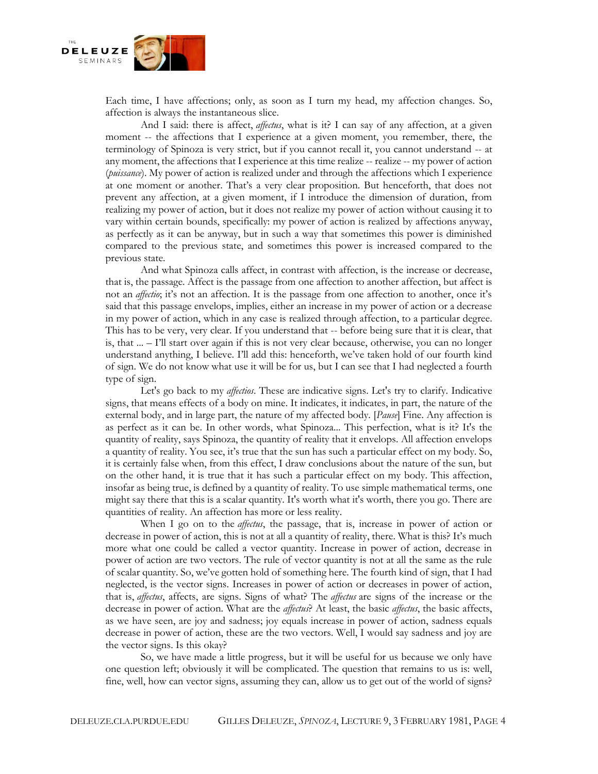

Each time, I have affections; only, as soon as I turn my head, my affection changes. So, affection is always the instantaneous slice.

And I said: there is affect, *affectus*, what is it? I can say of any affection, at a given moment -- the affections that I experience at a given moment, you remember, there, the terminology of Spinoza is very strict, but if you cannot recall it, you cannot understand -- at any moment, the affections that I experience at this time realize -- realize -- my power of action (*puissance*). My power of action is realized under and through the affections which I experience at one moment or another. That's a very clear proposition. But henceforth, that does not prevent any affection, at a given moment, if I introduce the dimension of duration, from realizing my power of action, but it does not realize my power of action without causing it to vary within certain bounds, specifically: my power of action is realized by affections anyway, as perfectly as it can be anyway, but in such a way that sometimes this power is diminished compared to the previous state, and sometimes this power is increased compared to the previous state.

And what Spinoza calls affect, in contrast with affection, is the increase or decrease, that is, the passage. Affect is the passage from one affection to another affection, but affect is not an *affectio*; it's not an affection. It is the passage from one affection to another, once it's said that this passage envelops, implies, either an increase in my power of action or a decrease in my power of action, which in any case is realized through affection, to a particular degree. This has to be very, very clear. If you understand that -- before being sure that it is clear, that is, that ... – I'll start over again if this is not very clear because, otherwise, you can no longer understand anything, I believe. I'll add this: henceforth, we've taken hold of our fourth kind of sign. We do not know what use it will be for us, but I can see that I had neglected a fourth type of sign.

Let's go back to my *affectios*. These are indicative signs. Let's try to clarify. Indicative signs, that means effects of a body on mine. It indicates, it indicates, in part, the nature of the external body, and in large part, the nature of my affected body. [*Pause*] Fine. Any affection is as perfect as it can be. In other words, what Spinoza... This perfection, what is it? It's the quantity of reality, says Spinoza, the quantity of reality that it envelops. All affection envelops a quantity of reality. You see, it's true that the sun has such a particular effect on my body. So, it is certainly false when, from this effect, I draw conclusions about the nature of the sun, but on the other hand, it is true that it has such a particular effect on my body. This affection, insofar as being true, is defined by a quantity of reality. To use simple mathematical terms, one might say there that this is a scalar quantity. It's worth what it's worth, there you go. There are quantities of reality. An affection has more or less reality.

When I go on to the *affectus*, the passage, that is, increase in power of action or decrease in power of action, this is not at all a quantity of reality, there. What is this? It's much more what one could be called a vector quantity. Increase in power of action, decrease in power of action are two vectors. The rule of vector quantity is not at all the same as the rule of scalar quantity. So, we've gotten hold of something here. The fourth kind of sign, that I had neglected, is the vector signs. Increases in power of action or decreases in power of action, that is, *affectus*, affects, are signs. Signs of what? The *affectus* are signs of the increase or the decrease in power of action. What are the *affectus*? At least, the basic *affectus*, the basic affects, as we have seen, are joy and sadness; joy equals increase in power of action, sadness equals decrease in power of action, these are the two vectors. Well, I would say sadness and joy are the vector signs. Is this okay?

So, we have made a little progress, but it will be useful for us because we only have one question left; obviously it will be complicated. The question that remains to us is: well, fine, well, how can vector signs, assuming they can, allow us to get out of the world of signs?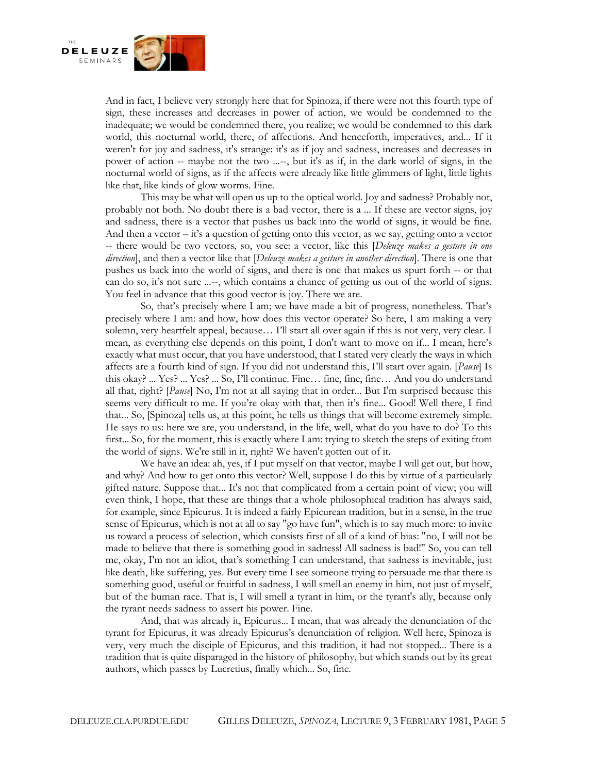

And in fact, I believe very strongly here that for Spinoza, if there were not this fourth type of sign, these increases and decreases in power of action, we would be condemned to the inadequate; we would be condemned there, you realize; we would be condemned to this dark world, this nocturnal world, there, of affections. And henceforth, imperatives, and... If it weren't for joy and sadness, it's strange: it's as if joy and sadness, increases and decreases in power of action -- maybe not the two ...--, but it's as if, in the dark world of signs, in the nocturnal world of signs, as if the affects were already like little glimmers of light, little lights like that, like kinds of glow worms. Fine.

This may be what will open us up to the optical world. Joy and sadness? Probably not, probably not both. No doubt there is a bad vector, there is a ... If these are vector signs, joy and sadness, there is a vector that pushes us back into the world of signs, it would be fine. And then a vector  $-i\dot{t}$ 's a question of getting onto this vector, as we say, getting onto a vector -- there would be two vectors, so, you see: a vector, like this [*Deleuze makes a gesture in one direction*], and then a vector like that [*Deleuze makes a gesture in another direction*]. There is one that pushes us back into the world of signs, and there is one that makes us spurt forth -- or that can do so, it's not sure ...--, which contains a chance of getting us out of the world of signs. You feel in advance that this good vector is joy. There we are.

So, that's precisely where I am; we have made a bit of progress, nonetheless. That's precisely where I am: and how, how does this vector operate? So here, I am making a very solemn, very heartfelt appeal, because… I'll start all over again if this is not very, very clear. I mean, as everything else depends on this point, I don't want to move on if... I mean, here's exactly what must occur, that you have understood, that I stated very clearly the ways in which affects are a fourth kind of sign. If you did not understand this, I'll start over again. [*Pause*] Is this okay? ... Yes? ... Yes? ... So, I'll continue. Fine… fine, fine, fine… And you do understand all that, right? [*Pause*] No, I'm not at all saying that in order... But I'm surprised because this seems very difficult to me. If you're okay with that, then it's fine... Good! Well there, I find that... So, [Spinoza] tells us, at this point, he tells us things that will become extremely simple. He says to us: here we are, you understand, in the life, well, what do you have to do? To this first... So, for the moment, this is exactly where I am: trying to sketch the steps of exiting from the world of signs. We're still in it, right? We haven't gotten out of it.

We have an idea: ah, yes, if I put myself on that vector, maybe I will get out, but how, and why? And how to get onto this vector? Well, suppose I do this by virtue of a particularly gifted nature. Suppose that... It's not that complicated from a certain point of view; you will even think, I hope, that these are things that a whole philosophical tradition has always said, for example, since Epicurus. It is indeed a fairly Epicurean tradition, but in a sense, in the true sense of Epicurus, which is not at all to say "go have fun", which is to say much more: to invite us toward a process of selection, which consists first of all of a kind of bias: "no, I will not be made to believe that there is something good in sadness! All sadness is bad!" So, you can tell me, okay, I'm not an idiot, that's something I can understand, that sadness is inevitable, just like death, like suffering, yes. But every time I see someone trying to persuade me that there is something good, useful or fruitful in sadness, I will smell an enemy in him, not just of myself, but of the human race. That is, I will smell a tyrant in him, or the tyrant's ally, because only the tyrant needs sadness to assert his power. Fine.

And, that was already it, Epicurus... I mean, that was already the denunciation of the tyrant for Epicurus, it was already Epicurus's denunciation of religion. Well here, Spinoza is very, very much the disciple of Epicurus, and this tradition, it had not stopped... There is a tradition that is quite disparaged in the history of philosophy, but which stands out by its great authors, which passes by Lucretius, finally which... So, fine.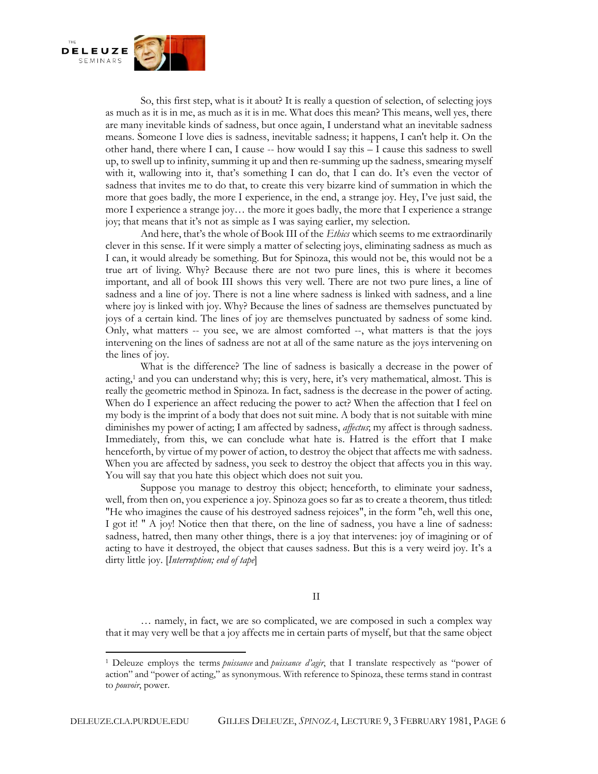

So, this first step, what is it about? It is really a question of selection, of selecting joys as much as it is in me, as much as it is in me. What does this mean? This means, well yes, there are many inevitable kinds of sadness, but once again, I understand what an inevitable sadness means. Someone I love dies is sadness, inevitable sadness; it happens, I can't help it. On the other hand, there where I can, I cause -- how would I say this – I cause this sadness to swell up, to swell up to infinity, summing it up and then re-summing up the sadness, smearing myself with it, wallowing into it, that's something I can do, that I can do. It's even the vector of sadness that invites me to do that, to create this very bizarre kind of summation in which the more that goes badly, the more I experience, in the end, a strange joy. Hey, I've just said, the more I experience a strange joy… the more it goes badly, the more that I experience a strange joy; that means that it's not as simple as I was saying earlier, my selection.

And here, that's the whole of Book III of the *Ethics* which seems to me extraordinarily clever in this sense. If it were simply a matter of selecting joys, eliminating sadness as much as I can, it would already be something. But for Spinoza, this would not be, this would not be a true art of living. Why? Because there are not two pure lines, this is where it becomes important, and all of book III shows this very well. There are not two pure lines, a line of sadness and a line of joy. There is not a line where sadness is linked with sadness, and a line where joy is linked with joy. Why? Because the lines of sadness are themselves punctuated by joys of a certain kind. The lines of joy are themselves punctuated by sadness of some kind. Only, what matters -- you see, we are almost comforted --, what matters is that the joys intervening on the lines of sadness are not at all of the same nature as the joys intervening on the lines of joy.

What is the difference? The line of sadness is basically a decrease in the power of actin[g,](https://deleuze.cla.purdue.edu/seminars/spinoza-velocities-thought/lecture-09-0#_edn1)<sup>1</sup> and you can understand why; this is very, here, it's very mathematical, almost. This is really the geometric method in Spinoza. In fact, sadness is the decrease in the power of acting. When do I experience an affect reducing the power to act? When the affection that I feel on my body is the imprint of a body that does not suit mine. A body that is not suitable with mine diminishes my power of acting; I am affected by sadness, *affectus*; my affect is through sadness. Immediately, from this, we can conclude what hate is. Hatred is the effort that I make henceforth, by virtue of my power of action, to destroy the object that affects me with sadness. When you are affected by sadness, you seek to destroy the object that affects you in this way. You will say that you hate this object which does not suit you.

Suppose you manage to destroy this object; henceforth, to eliminate your sadness, well, from then on, you experience a joy. Spinoza goes so far as to create a theorem, thus titled: "He who imagines the cause of his destroyed sadness rejoices", in the form "eh, well this one, I got it! " A joy! Notice then that there, on the line of sadness, you have a line of sadness: sadness, hatred, then many other things, there is a joy that intervenes: joy of imagining or of acting to have it destroyed, the object that causes sadness. But this is a very weird joy. It's a dirty little joy. [*Interruption; end of tape*]

II

… namely, in fact, we are so complicated, we are composed in such a complex way that it may very well be that a joy affects me in certain parts of myself, but that the same object

<sup>1</sup> Deleuze employs the terms *puissance* and *puissance d'agir*, that I translate respectively as "power of action" and "power of acting," as synonymous. With reference to Spinoza, these terms stand in contrast to *pouvoir*, power.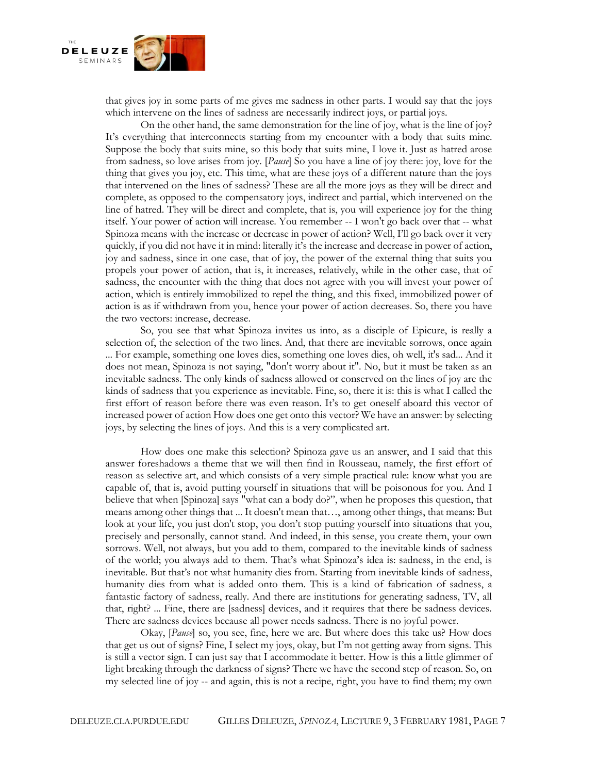

that gives joy in some parts of me gives me sadness in other parts. I would say that the joys which intervene on the lines of sadness are necessarily indirect joys, or partial joys.

On the other hand, the same demonstration for the line of joy, what is the line of joy? It's everything that interconnects starting from my encounter with a body that suits mine. Suppose the body that suits mine, so this body that suits mine, I love it. Just as hatred arose from sadness, so love arises from joy. [*Pause*] So you have a line of joy there: joy, love for the thing that gives you joy, etc. This time, what are these joys of a different nature than the joys that intervened on the lines of sadness? These are all the more joys as they will be direct and complete, as opposed to the compensatory joys, indirect and partial, which intervened on the line of hatred. They will be direct and complete, that is, you will experience joy for the thing itself. Your power of action will increase. You remember -- I won't go back over that -- what Spinoza means with the increase or decrease in power of action? Well, I'll go back over it very quickly, if you did not have it in mind: literally it's the increase and decrease in power of action, joy and sadness, since in one case, that of joy, the power of the external thing that suits you propels your power of action, that is, it increases, relatively, while in the other case, that of sadness, the encounter with the thing that does not agree with you will invest your power of action, which is entirely immobilized to repel the thing, and this fixed, immobilized power of action is as if withdrawn from you, hence your power of action decreases. So, there you have the two vectors: increase, decrease.

So, you see that what Spinoza invites us into, as a disciple of Epicure, is really a selection of, the selection of the two lines. And, that there are inevitable sorrows, once again ... For example, something one loves dies, something one loves dies, oh well, it's sad... And it does not mean, Spinoza is not saying, "don't worry about it". No, but it must be taken as an inevitable sadness. The only kinds of sadness allowed or conserved on the lines of joy are the kinds of sadness that you experience as inevitable. Fine, so, there it is: this is what I called the first effort of reason before there was even reason. It's to get oneself aboard this vector of increased power of action How does one get onto this vector? We have an answer: by selecting joys, by selecting the lines of joys. And this is a very complicated art.

How does one make this selection? Spinoza gave us an answer, and I said that this answer foreshadows a theme that we will then find in Rousseau, namely, the first effort of reason as selective art, and which consists of a very simple practical rule: know what you are capable of, that is, avoid putting yourself in situations that will be poisonous for you. And I believe that when [Spinoza] says "what can a body do?", when he proposes this question, that means among other things that ... It doesn't mean that…, among other things, that means: But look at your life, you just don't stop, you don't stop putting yourself into situations that you, precisely and personally, cannot stand. And indeed, in this sense, you create them, your own sorrows. Well, not always, but you add to them, compared to the inevitable kinds of sadness of the world; you always add to them. That's what Spinoza's idea is: sadness, in the end, is inevitable. But that's not what humanity dies from. Starting from inevitable kinds of sadness, humanity dies from what is added onto them. This is a kind of fabrication of sadness, a fantastic factory of sadness, really. And there are institutions for generating sadness, TV, all that, right? ... Fine, there are [sadness] devices, and it requires that there be sadness devices. There are sadness devices because all power needs sadness. There is no joyful power.

Okay, [*Pause*] so, you see, fine, here we are. But where does this take us? How does that get us out of signs? Fine, I select my joys, okay, but I'm not getting away from signs. This is still a vector sign. I can just say that I accommodate it better. How is this a little glimmer of light breaking through the darkness of signs? There we have the second step of reason. So, on my selected line of joy -- and again, this is not a recipe, right, you have to find them; my own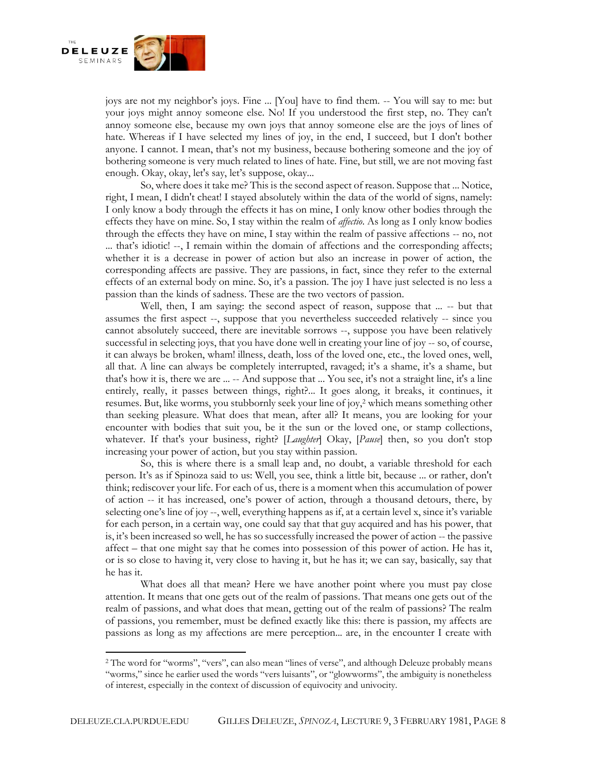

joys are not my neighbor's joys. Fine ... [You] have to find them. -- You will say to me: but your joys might annoy someone else. No! If you understood the first step, no. They can't annoy someone else, because my own joys that annoy someone else are the joys of lines of hate. Whereas if I have selected my lines of joy, in the end, I succeed, but I don't bother anyone. I cannot. I mean, that's not my business, because bothering someone and the joy of bothering someone is very much related to lines of hate. Fine, but still, we are not moving fast enough. Okay, okay, let's say, let's suppose, okay...

So, where does it take me? This is the second aspect of reason. Suppose that ... Notice, right, I mean, I didn't cheat! I stayed absolutely within the data of the world of signs, namely: I only know a body through the effects it has on mine, I only know other bodies through the effects they have on mine. So, I stay within the realm of *affectio*. As long as I only know bodies through the effects they have on mine, I stay within the realm of passive affections -- no, not ... that's idiotic! --, I remain within the domain of affections and the corresponding affects; whether it is a decrease in power of action but also an increase in power of action, the corresponding affects are passive. They are passions, in fact, since they refer to the external effects of an external body on mine. So, it's a passion. The joy I have just selected is no less a passion than the kinds of sadness. These are the two vectors of passion.

Well, then, I am saying: the second aspect of reason, suppose that ... -- but that assumes the first aspect --, suppose that you nevertheless succeeded relatively -- since you cannot absolutely succeed, there are inevitable sorrows --, suppose you have been relatively successful in selecting joys, that you have done well in creating your line of joy -- so, of course, it can always be broken, wham! illness, death, loss of the loved one, etc., the loved ones, well, all that. A line can always be completely interrupted, ravaged; it's a shame, it's a shame, but that's how it is, there we are ... -- And suppose that ... You see, it's not a straight line, it's a line entirely, really, it passes between things, right?... It goes along, it breaks, it continues, it resumes. But, like worms, you stubbornly seek your line of joy,<sup>[2](https://deleuze.cla.purdue.edu/seminars/spinoza-velocities-thought/lecture-09-0#_edn2)</sup> which means something other than seeking pleasure. What does that mean, after all? It means, you are looking for your encounter with bodies that suit you, be it the sun or the loved one, or stamp collections, whatever. If that's your business, right? [*Laughter*] Okay, [*Pause*] then, so you don't stop increasing your power of action, but you stay within passion.

So, this is where there is a small leap and, no doubt, a variable threshold for each person. It's as if Spinoza said to us: Well, you see, think a little bit, because ... or rather, don't think; rediscover your life. For each of us, there is a moment when this accumulation of power of action -- it has increased, one's power of action, through a thousand detours, there, by selecting one's line of joy --, well, everything happens as if, at a certain level x, since it's variable for each person, in a certain way, one could say that that guy acquired and has his power, that is, it's been increased so well, he has so successfully increased the power of action -- the passive affect – that one might say that he comes into possession of this power of action. He has it, or is so close to having it, very close to having it, but he has it; we can say, basically, say that he has it.

What does all that mean? Here we have another point where you must pay close attention. It means that one gets out of the realm of passions. That means one gets out of the realm of passions, and what does that mean, getting out of the realm of passions? The realm of passions, you remember, must be defined exactly like this: there is passion, my affects are passions as long as my affections are mere perception... are, in the encounter I create with

<sup>2</sup> The word for "worms", "vers", can also mean "lines of verse", and although Deleuze probably means "worms," since he earlier used the words "vers luisants", or "glowworms", the ambiguity is nonetheless of interest, especially in the context of discussion of equivocity and univocity.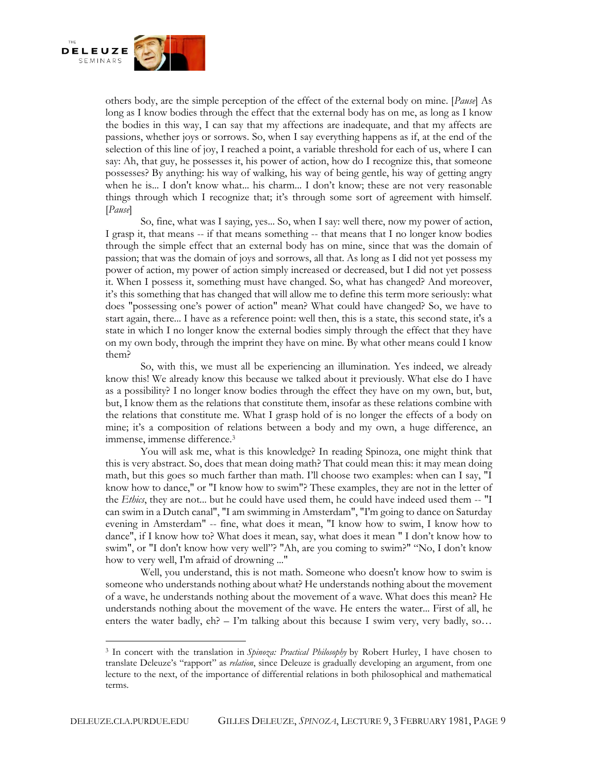

others body, are the simple perception of the effect of the external body on mine. [*Pause*] As long as I know bodies through the effect that the external body has on me, as long as I know the bodies in this way, I can say that my affections are inadequate, and that my affects are passions, whether joys or sorrows. So, when I say everything happens as if, at the end of the selection of this line of joy, I reached a point, a variable threshold for each of us, where I can say: Ah, that guy, he possesses it, his power of action, how do I recognize this, that someone possesses? By anything: his way of walking, his way of being gentle, his way of getting angry when he is... I don't know what... his charm... I don't know; these are not very reasonable things through which I recognize that; it's through some sort of agreement with himself. [*Pause*]

So, fine, what was I saying, yes... So, when I say: well there, now my power of action, I grasp it, that means -- if that means something -- that means that I no longer know bodies through the simple effect that an external body has on mine, since that was the domain of passion; that was the domain of joys and sorrows, all that. As long as I did not yet possess my power of action, my power of action simply increased or decreased, but I did not yet possess it. When I possess it, something must have changed. So, what has changed? And moreover, it's this something that has changed that will allow me to define this term more seriously: what does "possessing one's power of action" mean? What could have changed? So, we have to start again, there... I have as a reference point: well then, this is a state, this second state, it's a state in which I no longer know the external bodies simply through the effect that they have on my own body, through the imprint they have on mine. By what other means could I know them?

So, with this, we must all be experiencing an illumination. Yes indeed, we already know this! We already know this because we talked about it previously. What else do I have as a possibility? I no longer know bodies through the effect they have on my own, but, but, but, I know them as the relations that constitute them, insofar as these relations combine with the relations that constitute me. What I grasp hold of is no longer the effects of a body on mine; it's a composition of relations between a body and my own, a huge difference, an immense, immense differenc[e.](https://deleuze.cla.purdue.edu/seminars/spinoza-velocities-thought/lecture-09-0#_edn3)<sup>3</sup>

You will ask me, what is this knowledge? In reading Spinoza, one might think that this is very abstract. So, does that mean doing math? That could mean this: it may mean doing math, but this goes so much farther than math. I'll choose two examples: when can I say, "I know how to dance," or "I know how to swim"? These examples, they are not in the letter of the *Ethics*, they are not... but he could have used them, he could have indeed used them -- "I can swim in a Dutch canal", "I am swimming in Amsterdam", "I'm going to dance on Saturday evening in Amsterdam" -- fine, what does it mean, "I know how to swim, I know how to dance", if I know how to? What does it mean, say, what does it mean " I don't know how to swim", or "I don't know how very well"? "Ah, are you coming to swim?" "No, I don't know how to very well, I'm afraid of drowning ..."

Well, you understand, this is not math. Someone who doesn't know how to swim is someone who understands nothing about what? He understands nothing about the movement of a wave, he understands nothing about the movement of a wave. What does this mean? He understands nothing about the movement of the wave. He enters the water... First of all, he enters the water badly,  $eh$ ? – I'm talking about this because I swim very, very badly, so...

<sup>3</sup> In concert with the translation in *Spinoza: Practical Philosophy* by Robert Hurley, I have chosen to translate Deleuze's "rapport" as *relation*, since Deleuze is gradually developing an argument, from one lecture to the next, of the importance of differential relations in both philosophical and mathematical terms.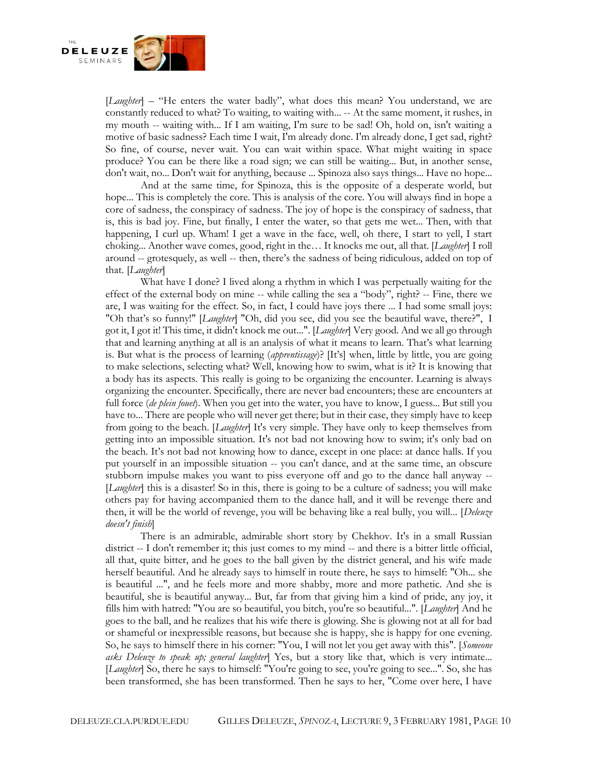

[*Laughter*] – "He enters the water badly", what does this mean? You understand, we are constantly reduced to what? To waiting, to waiting with... -- At the same moment, it rushes, in my mouth -- waiting with... If I am waiting, I'm sure to be sad! Oh, hold on, isn't waiting a motive of basic sadness? Each time I wait, I'm already done. I'm already done, I get sad, right? So fine, of course, never wait. You can wait within space. What might waiting in space produce? You can be there like a road sign; we can still be waiting... But, in another sense, don't wait, no... Don't wait for anything, because ... Spinoza also says things... Have no hope...

And at the same time, for Spinoza, this is the opposite of a desperate world, but hope... This is completely the core. This is analysis of the core. You will always find in hope a core of sadness, the conspiracy of sadness. The joy of hope is the conspiracy of sadness, that is, this is bad joy. Fine, but finally, I enter the water, so that gets me wet... Then, with that happening, I curl up. Wham! I get a wave in the face, well, oh there, I start to yell, I start choking... Another wave comes, good, right in the… It knocks me out, all that. [*Laughter*] I roll around -- grotesquely, as well -- then, there's the sadness of being ridiculous, added on top of that. [*Laughter*]

What have I done? I lived along a rhythm in which I was perpetually waiting for the effect of the external body on mine -- while calling the sea a "body", right? -- Fine, there we are, I was waiting for the effect. So, in fact, I could have joys there ... I had some small joys: "Oh that's so funny!" [*Laughter*] "Oh, did you see, did you see the beautiful wave, there?", I got it, I got it! This time, it didn't knock me out...". [*Laughter*] Very good. And we all go through that and learning anything at all is an analysis of what it means to learn. That's what learning is. But what is the process of learning (*apprentissage*)? [It's] when, little by little, you are going to make selections, selecting what? Well, knowing how to swim, what is it? It is knowing that a body has its aspects. This really is going to be organizing the encounter. Learning is always organizing the encounter. Specifically, there are never bad encounters; these are encounters at full force (*de plein fouet*). When you get into the water, you have to know, I guess... But still you have to... There are people who will never get there; but in their case, they simply have to keep from going to the beach. [*Laughter*] It's very simple. They have only to keep themselves from getting into an impossible situation. It's not bad not knowing how to swim; it's only bad on the beach. It's not bad not knowing how to dance, except in one place: at dance halls. If you put yourself in an impossible situation -- you can't dance, and at the same time, an obscure stubborn impulse makes you want to piss everyone off and go to the dance hall anyway -- [*Laughter*] this is a disaster! So in this, there is going to be a culture of sadness; you will make others pay for having accompanied them to the dance hall, and it will be revenge there and then, it will be the world of revenge, you will be behaving like a real bully, you will... [*Deleuze doesn't finish*]

There is an admirable, admirable short story by Chekhov. It's in a small Russian district -- I don't remember it; this just comes to my mind -- and there is a bitter little official, all that, quite bitter, and he goes to the ball given by the district general, and his wife made herself beautiful. And he already says to himself in route there, he says to himself: "Oh... she is beautiful ...", and he feels more and more shabby, more and more pathetic. And she is beautiful, she is beautiful anyway... But, far from that giving him a kind of pride, any joy, it fills him with hatred: "You are so beautiful, you bitch, you're so beautiful...". [*Laughter*] And he goes to the ball, and he realizes that his wife there is glowing. She is glowing not at all for bad or shameful or inexpressible reasons, but because she is happy, she is happy for one evening. So, he says to himself there in his corner: "You, I will not let you get away with this". [*Someone asks Deleuze to speak up; general laughter*] Yes, but a story like that, which is very intimate... [*Laughter*] So, there he says to himself: "You're going to see, you're going to see...". So, she has been transformed, she has been transformed. Then he says to her, "Come over here, I have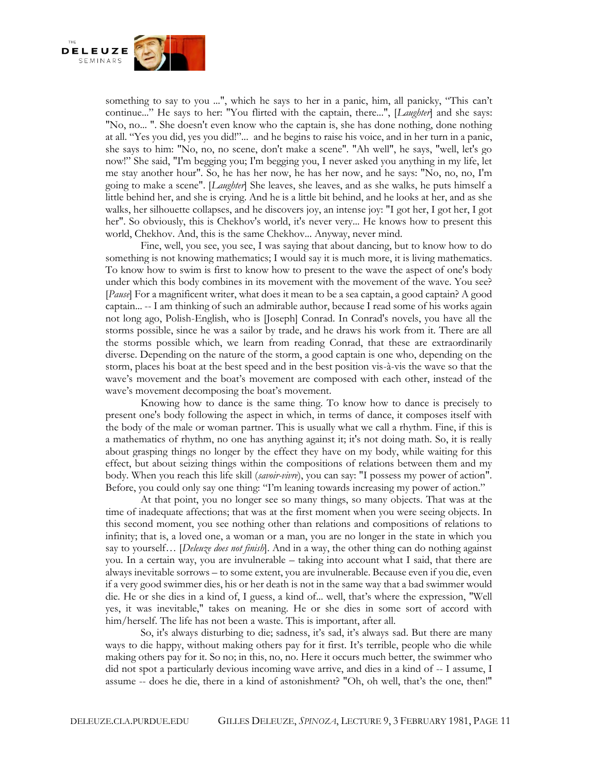

something to say to you ...", which he says to her in a panic, him, all panicky, "This can't continue..." He says to her: "You flirted with the captain, there...", [*Laughter*] and she says: "No, no... ". She doesn't even know who the captain is, she has done nothing, done nothing at all. "Yes you did, yes you did!"... and he begins to raise his voice, and in her turn in a panic, she says to him: "No, no, no scene, don't make a scene". "Ah well", he says, "well, let's go now!" She said, "I'm begging you; I'm begging you, I never asked you anything in my life, let me stay another hour". So, he has her now, he has her now, and he says: "No, no, no, I'm going to make a scene". [*Laughter*] She leaves, she leaves, and as she walks, he puts himself a little behind her, and she is crying. And he is a little bit behind, and he looks at her, and as she walks, her silhouette collapses, and he discovers joy, an intense joy: "I got her, I got her, I got her". So obviously, this is Chekhov's world, it's never very... He knows how to present this world, Chekhov. And, this is the same Chekhov... Anyway, never mind.

Fine, well, you see, you see, I was saying that about dancing, but to know how to do something is not knowing mathematics; I would say it is much more, it is living mathematics. To know how to swim is first to know how to present to the wave the aspect of one's body under which this body combines in its movement with the movement of the wave. You see? [*Pause*] For a magnificent writer, what does it mean to be a sea captain, a good captain? A good captain... -- I am thinking of such an admirable author, because I read some of his works again not long ago, Polish-English, who is [Joseph] Conrad. In Conrad's novels, you have all the storms possible, since he was a sailor by trade, and he draws his work from it. There are all the storms possible which, we learn from reading Conrad, that these are extraordinarily diverse. Depending on the nature of the storm, a good captain is one who, depending on the storm, places his boat at the best speed and in the best position vis-à-vis the wave so that the wave's movement and the boat's movement are composed with each other, instead of the wave's movement decomposing the boat's movement.

Knowing how to dance is the same thing. To know how to dance is precisely to present one's body following the aspect in which, in terms of dance, it composes itself with the body of the male or woman partner. This is usually what we call a rhythm. Fine, if this is a mathematics of rhythm, no one has anything against it; it's not doing math. So, it is really about grasping things no longer by the effect they have on my body, while waiting for this effect, but about seizing things within the compositions of relations between them and my body. When you reach this life skill (*savoir-vivre*), you can say: "I possess my power of action". Before, you could only say one thing: "I'm leaning towards increasing my power of action."

At that point, you no longer see so many things, so many objects. That was at the time of inadequate affections; that was at the first moment when you were seeing objects. In this second moment, you see nothing other than relations and compositions of relations to infinity; that is, a loved one, a woman or a man, you are no longer in the state in which you say to yourself… [*Deleuze does not finish*]. And in a way, the other thing can do nothing against you. In a certain way, you are invulnerable – taking into account what I said, that there are always inevitable sorrows – to some extent, you are invulnerable. Because even if you die, even if a very good swimmer dies, his or her death is not in the same way that a bad swimmer would die. He or she dies in a kind of, I guess, a kind of... well, that's where the expression, "Well yes, it was inevitable," takes on meaning. He or she dies in some sort of accord with him/herself. The life has not been a waste. This is important, after all.

So, it's always disturbing to die; sadness, it's sad, it's always sad. But there are many ways to die happy, without making others pay for it first. It's terrible, people who die while making others pay for it. So no; in this, no, no. Here it occurs much better, the swimmer who did not spot a particularly devious incoming wave arrive, and dies in a kind of -- I assume, I assume -- does he die, there in a kind of astonishment? "Oh, oh well, that's the one, then!"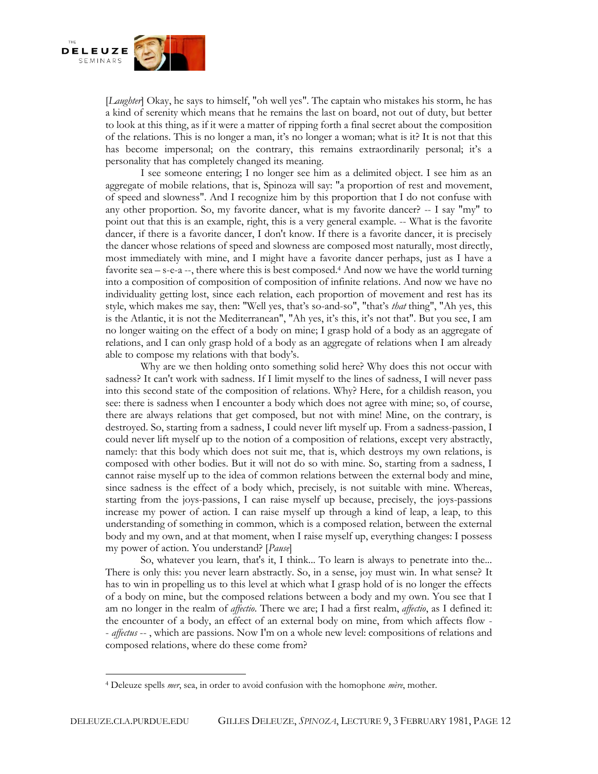

[*Laughter*] Okay, he says to himself, "oh well yes". The captain who mistakes his storm, he has a kind of serenity which means that he remains the last on board, not out of duty, but better to look at this thing, as if it were a matter of ripping forth a final secret about the composition of the relations. This is no longer a man, it's no longer a woman; what is it? It is not that this has become impersonal; on the contrary, this remains extraordinarily personal; it's a personality that has completely changed its meaning.

I see someone entering; I no longer see him as a delimited object. I see him as an aggregate of mobile relations, that is, Spinoza will say: "a proportion of rest and movement, of speed and slowness". And I recognize him by this proportion that I do not confuse with any other proportion. So, my favorite dancer, what is my favorite dancer? -- I say "my" to point out that this is an example, right, this is a very general example. -- What is the favorite dancer, if there is a favorite dancer, I don't know. If there is a favorite dancer, it is precisely the dancer whose relations of speed and slowness are composed most naturally, most directly, most immediately with mine, and I might have a favorite dancer perhaps, just as I have a favorite sea  $-$  s-e-a  $-$ , there where this is best compose[d.](https://deleuze.cla.purdue.edu/seminars/spinoza-velocities-thought/lecture-09-0#_edn4)<sup>4</sup> And now we have the world turning into a composition of composition of composition of infinite relations. And now we have no individuality getting lost, since each relation, each proportion of movement and rest has its style, which makes me say, then: "Well yes, that's so-and-so", "that's *that* thing", "Ah yes, this is the Atlantic, it is not the Mediterranean", "Ah yes, it's this, it's not that". But you see, I am no longer waiting on the effect of a body on mine; I grasp hold of a body as an aggregate of relations, and I can only grasp hold of a body as an aggregate of relations when I am already able to compose my relations with that body's.

Why are we then holding onto something solid here? Why does this not occur with sadness? It can't work with sadness. If I limit myself to the lines of sadness, I will never pass into this second state of the composition of relations. Why? Here, for a childish reason, you see: there is sadness when I encounter a body which does not agree with mine; so, of course, there are always relations that get composed, but not with mine! Mine, on the contrary, is destroyed. So, starting from a sadness, I could never lift myself up. From a sadness-passion, I could never lift myself up to the notion of a composition of relations, except very abstractly, namely: that this body which does not suit me, that is, which destroys my own relations, is composed with other bodies. But it will not do so with mine. So, starting from a sadness, I cannot raise myself up to the idea of common relations between the external body and mine, since sadness is the effect of a body which, precisely, is not suitable with mine. Whereas, starting from the joys-passions, I can raise myself up because, precisely, the joys-passions increase my power of action. I can raise myself up through a kind of leap, a leap, to this understanding of something in common, which is a composed relation, between the external body and my own, and at that moment, when I raise myself up, everything changes: I possess my power of action. You understand? [*Pause*]

So, whatever you learn, that's it, I think... To learn is always to penetrate into the... There is only this: you never learn abstractly. So, in a sense, joy must win. In what sense? It has to win in propelling us to this level at which what I grasp hold of is no longer the effects of a body on mine, but the composed relations between a body and my own. You see that I am no longer in the realm of *affectio*. There we are; I had a first realm, *affectio*, as I defined it: the encounter of a body, an effect of an external body on mine, from which affects flow - - *affectus* -- , which are passions. Now I'm on a whole new level: compositions of relations and composed relations, where do these come from?

<sup>4</sup> Deleuze spells *mer*, sea, in order to avoid confusion with the homophone *mère*, mother.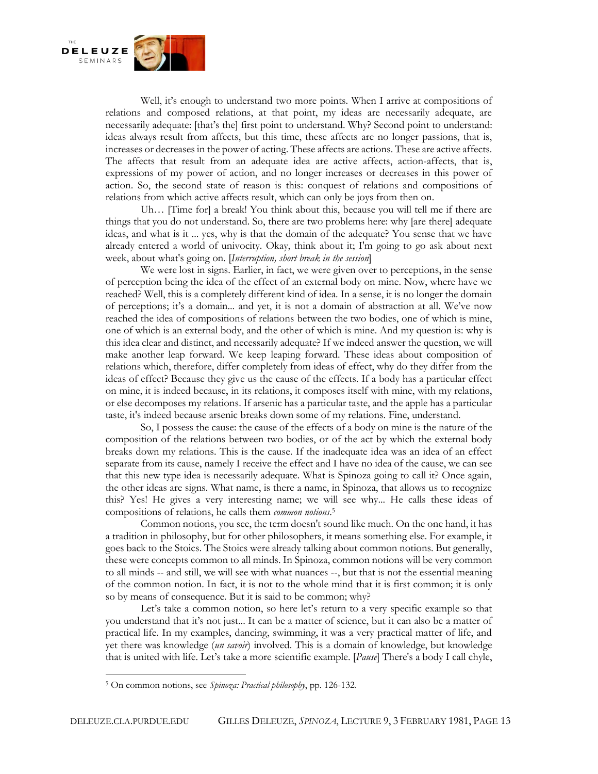

Well, it's enough to understand two more points. When I arrive at compositions of relations and composed relations, at that point, my ideas are necessarily adequate, are necessarily adequate: [that's the] first point to understand. Why? Second point to understand: ideas always result from affects, but this time, these affects are no longer passions, that is, increases or decreases in the power of acting. These affects are actions. These are active affects. The affects that result from an adequate idea are active affects, action-affects, that is, expressions of my power of action, and no longer increases or decreases in this power of action. So, the second state of reason is this: conquest of relations and compositions of relations from which active affects result, which can only be joys from then on.

Uh… [Time for] a break! You think about this, because you will tell me if there are things that you do not understand. So, there are two problems here: why [are there] adequate ideas, and what is it ... yes, why is that the domain of the adequate? You sense that we have already entered a world of univocity. Okay, think about it; I'm going to go ask about next week, about what's going on. [*Interruption, short break in the session*]

We were lost in signs. Earlier, in fact, we were given over to perceptions, in the sense of perception being the idea of the effect of an external body on mine. Now, where have we reached? Well, this is a completely different kind of idea. In a sense, it is no longer the domain of perceptions; it's a domain... and yet, it is not a domain of abstraction at all. We've now reached the idea of compositions of relations between the two bodies, one of which is mine, one of which is an external body, and the other of which is mine. And my question is: why is this idea clear and distinct, and necessarily adequate? If we indeed answer the question, we will make another leap forward. We keep leaping forward. These ideas about composition of relations which, therefore, differ completely from ideas of effect, why do they differ from the ideas of effect? Because they give us the cause of the effects. If a body has a particular effect on mine, it is indeed because, in its relations, it composes itself with mine, with my relations, or else decomposes my relations. If arsenic has a particular taste, and the apple has a particular taste, it's indeed because arsenic breaks down some of my relations. Fine, understand.

So, I possess the cause: the cause of the effects of a body on mine is the nature of the composition of the relations between two bodies, or of the act by which the external body breaks down my relations. This is the cause. If the inadequate idea was an idea of an effect separate from its cause, namely I receive the effect and I have no idea of the cause, we can see that this new type idea is necessarily adequate. What is Spinoza going to call it? Once again, the other ideas are signs. What name, is there a name, in Spinoza, that allows us to recognize this? Yes! He gives a very interesting name; we will see why... He calls these ideas of compositions of relations, he calls them *common notions*. [5](https://deleuze.cla.purdue.edu/seminars/spinoza-velocities-thought/lecture-09-0#_edn5)

Common notions, you see, the term doesn't sound like much. On the one hand, it has a tradition in philosophy, but for other philosophers, it means something else. For example, it goes back to the Stoics. The Stoics were already talking about common notions. But generally, these were concepts common to all minds. In Spinoza, common notions will be very common to all minds -- and still, we will see with what nuances --, but that is not the essential meaning of the common notion. In fact, it is not to the whole mind that it is first common; it is only so by means of consequence. But it is said to be common; why?

Let's take a common notion, so here let's return to a very specific example so that you understand that it's not just... It can be a matter of science, but it can also be a matter of practical life. In my examples, dancing, swimming, it was a very practical matter of life, and yet there was knowledge (*un savoir*) involved. This is a domain of knowledge, but knowledge that is united with life. Let's take a more scientific example. [*Pause*] There's a body I call chyle,

<sup>5</sup> On common notions, see *Spinoza: Practical philosophy*, pp. 126-132.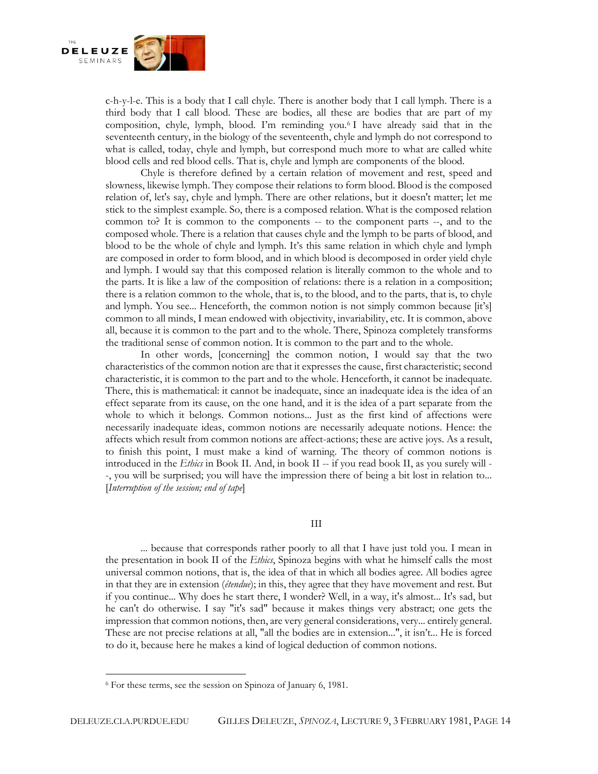

c-h-y-l-e. This is a body that I call chyle. There is another body that I call lymph. There is a third body that I call blood. These are bodies, all these are bodies that are part of my composition, chyle, lymph, blood. I'm reminding you[.](https://deleuze.cla.purdue.edu/seminars/spinoza-velocities-thought/lecture-09-0#_edn6)<sup>6</sup> I have already said that in the seventeenth century, in the biology of the seventeenth, chyle and lymph do not correspond to what is called, today, chyle and lymph, but correspond much more to what are called white blood cells and red blood cells. That is, chyle and lymph are components of the blood.

Chyle is therefore defined by a certain relation of movement and rest, speed and slowness, likewise lymph. They compose their relations to form blood. Blood is the composed relation of, let's say, chyle and lymph. There are other relations, but it doesn't matter; let me stick to the simplest example. So, there is a composed relation. What is the composed relation common to? It is common to the components -- to the component parts --, and to the composed whole. There is a relation that causes chyle and the lymph to be parts of blood, and blood to be the whole of chyle and lymph. It's this same relation in which chyle and lymph are composed in order to form blood, and in which blood is decomposed in order yield chyle and lymph. I would say that this composed relation is literally common to the whole and to the parts. It is like a law of the composition of relations: there is a relation in a composition; there is a relation common to the whole, that is, to the blood, and to the parts, that is, to chyle and lymph. You see... Henceforth, the common notion is not simply common because [it's] common to all minds, I mean endowed with objectivity, invariability, etc. It is common, above all, because it is common to the part and to the whole. There, Spinoza completely transforms the traditional sense of common notion. It is common to the part and to the whole.

In other words, [concerning] the common notion, I would say that the two characteristics of the common notion are that it expresses the cause, first characteristic; second characteristic, it is common to the part and to the whole. Henceforth, it cannot be inadequate. There, this is mathematical: it cannot be inadequate, since an inadequate idea is the idea of an effect separate from its cause, on the one hand, and it is the idea of a part separate from the whole to which it belongs. Common notions... Just as the first kind of affections were necessarily inadequate ideas, common notions are necessarily adequate notions. Hence: the affects which result from common notions are affect-actions; these are active joys. As a result, to finish this point, I must make a kind of warning. The theory of common notions is introduced in the *Ethics* in Book II. And, in book II -- if you read book II, as you surely will - -, you will be surprised; you will have the impression there of being a bit lost in relation to... [*Interruption of the session; end of tape*]

## III

... because that corresponds rather poorly to all that I have just told you. I mean in the presentation in book II of the *Ethics*, Spinoza begins with what he himself calls the most universal common notions, that is, the idea of that in which all bodies agree. All bodies agree in that they are in extension (*étendue*); in this, they agree that they have movement and rest. But if you continue... Why does he start there, I wonder? Well, in a way, it's almost... It's sad, but he can't do otherwise. I say "it's sad" because it makes things very abstract; one gets the impression that common notions, then, are very general considerations, very... entirely general. These are not precise relations at all, "all the bodies are in extension...", it isn't... He is forced to do it, because here he makes a kind of logical deduction of common notions.

<sup>6</sup> For these terms, see the session on Spinoza of January 6, 1981.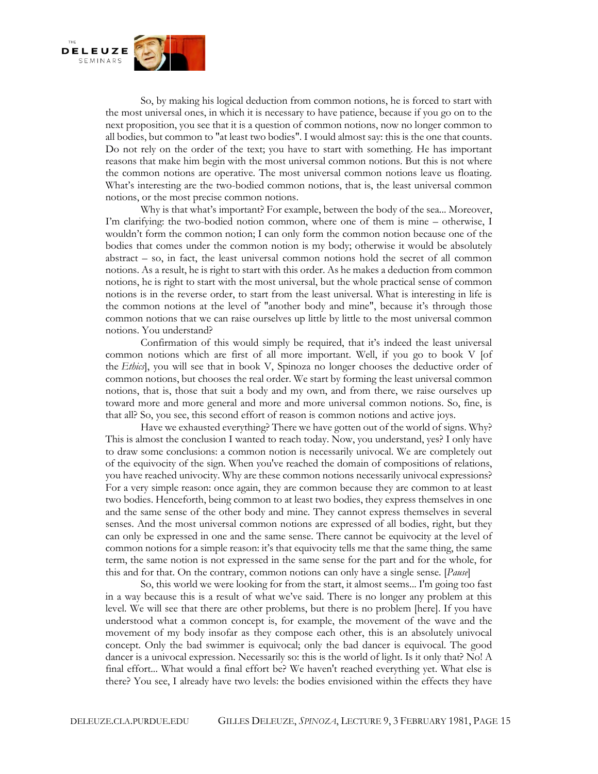

So, by making his logical deduction from common notions, he is forced to start with the most universal ones, in which it is necessary to have patience, because if you go on to the next proposition, you see that it is a question of common notions, now no longer common to all bodies, but common to "at least two bodies". I would almost say: this is the one that counts. Do not rely on the order of the text; you have to start with something. He has important reasons that make him begin with the most universal common notions. But this is not where the common notions are operative. The most universal common notions leave us floating. What's interesting are the two-bodied common notions, that is, the least universal common notions, or the most precise common notions.

Why is that what's important? For example, between the body of the sea... Moreover, I'm clarifying: the two-bodied notion common, where one of them is mine – otherwise, I wouldn't form the common notion; I can only form the common notion because one of the bodies that comes under the common notion is my body; otherwise it would be absolutely abstract – so, in fact, the least universal common notions hold the secret of all common notions. As a result, he is right to start with this order. As he makes a deduction from common notions, he is right to start with the most universal, but the whole practical sense of common notions is in the reverse order, to start from the least universal. What is interesting in life is the common notions at the level of "another body and mine", because it's through those common notions that we can raise ourselves up little by little to the most universal common notions. You understand?

Confirmation of this would simply be required, that it's indeed the least universal common notions which are first of all more important. Well, if you go to book V [of the *Ethics*], you will see that in book V, Spinoza no longer chooses the deductive order of common notions, but chooses the real order. We start by forming the least universal common notions, that is, those that suit a body and my own, and from there, we raise ourselves up toward more and more general and more and more universal common notions. So, fine, is that all? So, you see, this second effort of reason is common notions and active joys.

Have we exhausted everything? There we have gotten out of the world of signs. Why? This is almost the conclusion I wanted to reach today. Now, you understand, yes? I only have to draw some conclusions: a common notion is necessarily univocal. We are completely out of the equivocity of the sign. When you've reached the domain of compositions of relations, you have reached univocity. Why are these common notions necessarily univocal expressions? For a very simple reason: once again, they are common because they are common to at least two bodies. Henceforth, being common to at least two bodies, they express themselves in one and the same sense of the other body and mine. They cannot express themselves in several senses. And the most universal common notions are expressed of all bodies, right, but they can only be expressed in one and the same sense. There cannot be equivocity at the level of common notions for a simple reason: it's that equivocity tells me that the same thing, the same term, the same notion is not expressed in the same sense for the part and for the whole, for this and for that. On the contrary, common notions can only have a single sense. [*Pause*]

So, this world we were looking for from the start, it almost seems... I'm going too fast in a way because this is a result of what we've said. There is no longer any problem at this level. We will see that there are other problems, but there is no problem [here]. If you have understood what a common concept is, for example, the movement of the wave and the movement of my body insofar as they compose each other, this is an absolutely univocal concept. Only the bad swimmer is equivocal; only the bad dancer is equivocal. The good dancer is a univocal expression. Necessarily so: this is the world of light. Is it only that? No! A final effort... What would a final effort be? We haven't reached everything yet. What else is there? You see, I already have two levels: the bodies envisioned within the effects they have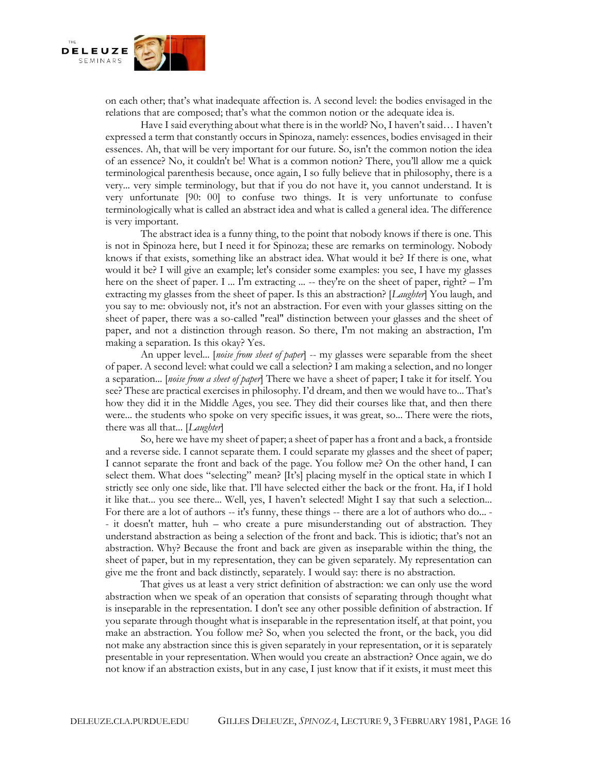

on each other; that's what inadequate affection is. A second level: the bodies envisaged in the relations that are composed; that's what the common notion or the adequate idea is.

Have I said everything about what there is in the world? No, I haven't said… I haven't expressed a term that constantly occurs in Spinoza, namely: essences, bodies envisaged in their essences. Ah, that will be very important for our future. So, isn't the common notion the idea of an essence? No, it couldn't be! What is a common notion? There, you'll allow me a quick terminological parenthesis because, once again, I so fully believe that in philosophy, there is a very... very simple terminology, but that if you do not have it, you cannot understand. It is very unfortunate [90: 00] to confuse two things. It is very unfortunate to confuse terminologically what is called an abstract idea and what is called a general idea. The difference is very important.

The abstract idea is a funny thing, to the point that nobody knows if there is one. This is not in Spinoza here, but I need it for Spinoza; these are remarks on terminology. Nobody knows if that exists, something like an abstract idea. What would it be? If there is one, what would it be? I will give an example; let's consider some examples: you see, I have my glasses here on the sheet of paper. I ... I'm extracting ... -- they're on the sheet of paper, right? – I'm extracting my glasses from the sheet of paper. Is this an abstraction? [*Laughter*] You laugh, and you say to me: obviously not, it's not an abstraction. For even with your glasses sitting on the sheet of paper, there was a so-called "real" distinction between your glasses and the sheet of paper, and not a distinction through reason. So there, I'm not making an abstraction, I'm making a separation. Is this okay? Yes.

An upper level... [*noise from sheet of paper*] -- my glasses were separable from the sheet of paper. A second level: what could we call a selection? I am making a selection, and no longer a separation... [*noise from a sheet of paper*] There we have a sheet of paper; I take it for itself. You see? These are practical exercises in philosophy. I'd dream, and then we would have to... That's how they did it in the Middle Ages, you see. They did their courses like that, and then there were... the students who spoke on very specific issues, it was great, so... There were the riots, there was all that... [*Laughter*]

So, here we have my sheet of paper; a sheet of paper has a front and a back, a frontside and a reverse side. I cannot separate them. I could separate my glasses and the sheet of paper; I cannot separate the front and back of the page. You follow me? On the other hand, I can select them. What does "selecting" mean? [It's] placing myself in the optical state in which I strictly see only one side, like that. I'll have selected either the back or the front. Ha, if I hold it like that... you see there... Well, yes, I haven't selected! Might I say that such a selection... For there are a lot of authors -- it's funny, these things -- there are a lot of authors who do... -- it doesn't matter, huh – who create a pure misunderstanding out of abstraction. They understand abstraction as being a selection of the front and back. This is idiotic; that's not an abstraction. Why? Because the front and back are given as inseparable within the thing, the sheet of paper, but in my representation, they can be given separately. My representation can give me the front and back distinctly, separately. I would say: there is no abstraction.

That gives us at least a very strict definition of abstraction: we can only use the word abstraction when we speak of an operation that consists of separating through thought what is inseparable in the representation. I don't see any other possible definition of abstraction. If you separate through thought what is inseparable in the representation itself, at that point, you make an abstraction. You follow me? So, when you selected the front, or the back, you did not make any abstraction since this is given separately in your representation, or it is separately presentable in your representation. When would you create an abstraction? Once again, we do not know if an abstraction exists, but in any case, I just know that if it exists, it must meet this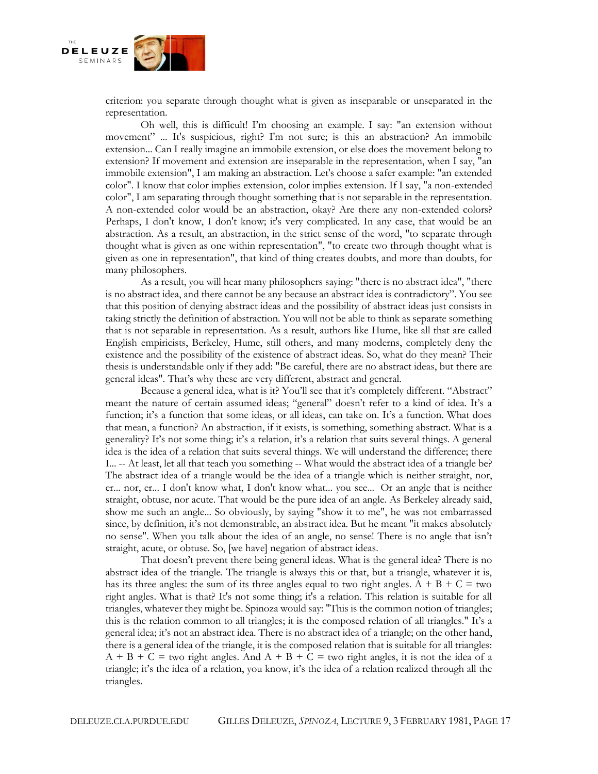

criterion: you separate through thought what is given as inseparable or unseparated in the representation.

Oh well, this is difficult! I'm choosing an example. I say: "an extension without movement" ... It's suspicious, right? I'm not sure; is this an abstraction? An immobile extension... Can I really imagine an immobile extension, or else does the movement belong to extension? If movement and extension are inseparable in the representation, when I say, "an immobile extension", I am making an abstraction. Let's choose a safer example: "an extended color". I know that color implies extension, color implies extension. If I say, "a non-extended color", I am separating through thought something that is not separable in the representation. A non-extended color would be an abstraction, okay? Are there any non-extended colors? Perhaps, I don't know, I don't know; it's very complicated. In any case, that would be an abstraction. As a result, an abstraction, in the strict sense of the word, "to separate through thought what is given as one within representation", "to create two through thought what is given as one in representation", that kind of thing creates doubts, and more than doubts, for many philosophers.

As a result, you will hear many philosophers saying: "there is no abstract idea", "there is no abstract idea, and there cannot be any because an abstract idea is contradictory". You see that this position of denying abstract ideas and the possibility of abstract ideas just consists in taking strictly the definition of abstraction. You will not be able to think as separate something that is not separable in representation. As a result, authors like Hume, like all that are called English empiricists, Berkeley, Hume, still others, and many moderns, completely deny the existence and the possibility of the existence of abstract ideas. So, what do they mean? Their thesis is understandable only if they add: "Be careful, there are no abstract ideas, but there are general ideas". That's why these are very different, abstract and general.

Because a general idea, what is it? You'll see that it's completely different. "Abstract" meant the nature of certain assumed ideas; "general" doesn't refer to a kind of idea. It's a function; it's a function that some ideas, or all ideas, can take on. It's a function. What does that mean, a function? An abstraction, if it exists, is something, something abstract. What is a generality? It's not some thing; it's a relation, it's a relation that suits several things. A general idea is the idea of a relation that suits several things. We will understand the difference; there I... -- At least, let all that teach you something -- What would the abstract idea of a triangle be? The abstract idea of a triangle would be the idea of a triangle which is neither straight, nor, er... nor, er... I don't know what, I don't know what... you see... Or an angle that is neither straight, obtuse, nor acute. That would be the pure idea of an angle. As Berkeley already said, show me such an angle... So obviously, by saying "show it to me", he was not embarrassed since, by definition, it's not demonstrable, an abstract idea. But he meant "it makes absolutely no sense". When you talk about the idea of an angle, no sense! There is no angle that isn't straight, acute, or obtuse. So, [we have] negation of abstract ideas.

That doesn't prevent there being general ideas. What is the general idea? There is no abstract idea of the triangle. The triangle is always this or that, but a triangle, whatever it is, has its three angles: the sum of its three angles equal to two right angles.  $A + B + C =$  two right angles. What is that? It's not some thing; it's a relation. This relation is suitable for all triangles, whatever they might be. Spinoza would say: "This is the common notion of triangles; this is the relation common to all triangles; it is the composed relation of all triangles." It's a general idea; it's not an abstract idea. There is no abstract idea of a triangle; on the other hand, there is a general idea of the triangle, it is the composed relation that is suitable for all triangles:  $A + B + C =$  two right angles. And  $A + B + C =$  two right angles, it is not the idea of a triangle; it's the idea of a relation, you know, it's the idea of a relation realized through all the triangles.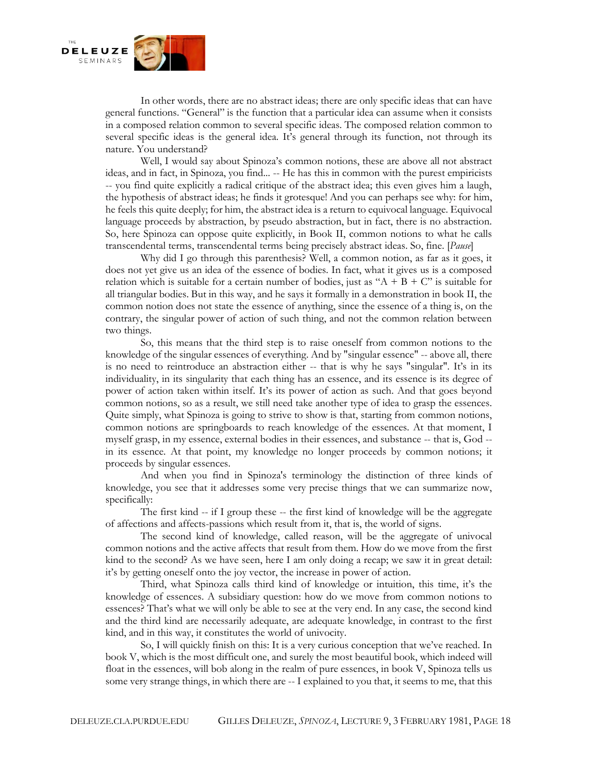

In other words, there are no abstract ideas; there are only specific ideas that can have general functions. "General" is the function that a particular idea can assume when it consists in a composed relation common to several specific ideas. The composed relation common to several specific ideas is the general idea. It's general through its function, not through its nature. You understand?

Well, I would say about Spinoza's common notions, these are above all not abstract ideas, and in fact, in Spinoza, you find... -- He has this in common with the purest empiricists -- you find quite explicitly a radical critique of the abstract idea; this even gives him a laugh, the hypothesis of abstract ideas; he finds it grotesque! And you can perhaps see why: for him, he feels this quite deeply; for him, the abstract idea is a return to equivocal language. Equivocal language proceeds by abstraction, by pseudo abstraction, but in fact, there is no abstraction. So, here Spinoza can oppose quite explicitly, in Book II, common notions to what he calls transcendental terms, transcendental terms being precisely abstract ideas. So, fine. [*Pause*]

Why did I go through this parenthesis? Well, a common notion, as far as it goes, it does not yet give us an idea of the essence of bodies. In fact, what it gives us is a composed relation which is suitable for a certain number of bodies, just as " $A + B + C$ " is suitable for all triangular bodies. But in this way, and he says it formally in a demonstration in book II, the common notion does not state the essence of anything, since the essence of a thing is, on the contrary, the singular power of action of such thing, and not the common relation between two things.

So, this means that the third step is to raise oneself from common notions to the knowledge of the singular essences of everything. And by "singular essence" -- above all, there is no need to reintroduce an abstraction either -- that is why he says "singular". It's in its individuality, in its singularity that each thing has an essence, and its essence is its degree of power of action taken within itself. It's its power of action as such. And that goes beyond common notions, so as a result, we still need take another type of idea to grasp the essences. Quite simply, what Spinoza is going to strive to show is that, starting from common notions, common notions are springboards to reach knowledge of the essences. At that moment, I myself grasp, in my essence, external bodies in their essences, and substance -- that is, God - in its essence. At that point, my knowledge no longer proceeds by common notions; it proceeds by singular essences.

And when you find in Spinoza's terminology the distinction of three kinds of knowledge, you see that it addresses some very precise things that we can summarize now, specifically:

The first kind -- if I group these -- the first kind of knowledge will be the aggregate of affections and affects-passions which result from it, that is, the world of signs.

The second kind of knowledge, called reason, will be the aggregate of univocal common notions and the active affects that result from them. How do we move from the first kind to the second? As we have seen, here I am only doing a recap; we saw it in great detail: it's by getting oneself onto the joy vector, the increase in power of action.

Third, what Spinoza calls third kind of knowledge or intuition, this time, it's the knowledge of essences. A subsidiary question: how do we move from common notions to essences? That's what we will only be able to see at the very end. In any case, the second kind and the third kind are necessarily adequate, are adequate knowledge, in contrast to the first kind, and in this way, it constitutes the world of univocity.

So, I will quickly finish on this: It is a very curious conception that we've reached. In book V, which is the most difficult one, and surely the most beautiful book, which indeed will float in the essences, will bob along in the realm of pure essences, in book V, Spinoza tells us some very strange things, in which there are -- I explained to you that, it seems to me, that this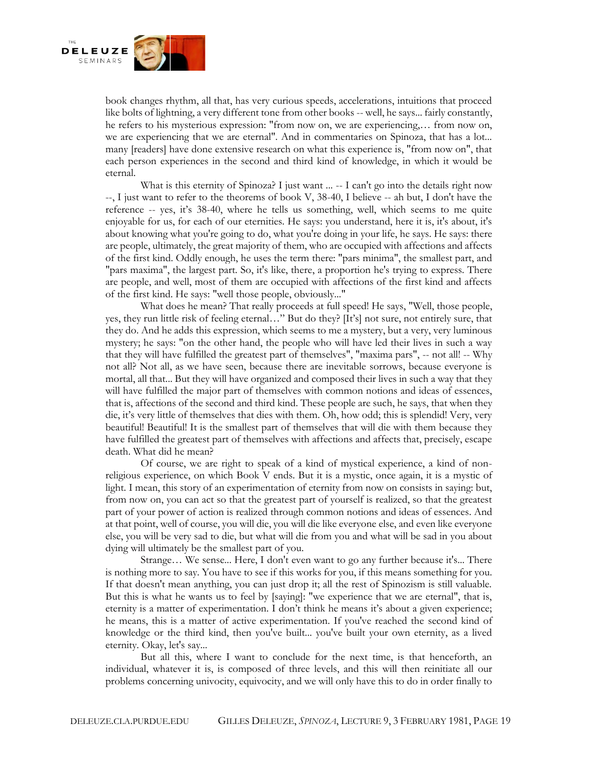

book changes rhythm, all that, has very curious speeds, accelerations, intuitions that proceed like bolts of lightning, a very different tone from other books -- well, he says... fairly constantly, he refers to his mysterious expression: "from now on, we are experiencing,… from now on, we are experiencing that we are eternal". And in commentaries on Spinoza, that has a lot... many [readers] have done extensive research on what this experience is, "from now on", that each person experiences in the second and third kind of knowledge, in which it would be eternal.

What is this eternity of Spinoza? I just want  $\ldots$  -- I can't go into the details right now --, I just want to refer to the theorems of book V, 38-40, I believe -- ah but, I don't have the reference -- yes, it's 38-40, where he tells us something, well, which seems to me quite enjoyable for us, for each of our eternities. He says: you understand, here it is, it's about, it's about knowing what you're going to do, what you're doing in your life, he says. He says: there are people, ultimately, the great majority of them, who are occupied with affections and affects of the first kind. Oddly enough, he uses the term there: "pars minima", the smallest part, and "pars maxima", the largest part. So, it's like, there, a proportion he's trying to express. There are people, and well, most of them are occupied with affections of the first kind and affects of the first kind. He says: "well those people, obviously..."

What does he mean? That really proceeds at full speed! He says, "Well, those people, yes, they run little risk of feeling eternal…" But do they? [It's] not sure, not entirely sure, that they do. And he adds this expression, which seems to me a mystery, but a very, very luminous mystery; he says: "on the other hand, the people who will have led their lives in such a way that they will have fulfilled the greatest part of themselves", "maxima pars", -- not all! -- Why not all? Not all, as we have seen, because there are inevitable sorrows, because everyone is mortal, all that... But they will have organized and composed their lives in such a way that they will have fulfilled the major part of themselves with common notions and ideas of essences, that is, affections of the second and third kind. These people are such, he says, that when they die, it's very little of themselves that dies with them. Oh, how odd; this is splendid! Very, very beautiful! Beautiful! It is the smallest part of themselves that will die with them because they have fulfilled the greatest part of themselves with affections and affects that, precisely, escape death. What did he mean?

Of course, we are right to speak of a kind of mystical experience, a kind of nonreligious experience, on which Book V ends. But it is a mystic, once again, it is a mystic of light. I mean, this story of an experimentation of eternity from now on consists in saying: but, from now on, you can act so that the greatest part of yourself is realized, so that the greatest part of your power of action is realized through common notions and ideas of essences. And at that point, well of course, you will die, you will die like everyone else, and even like everyone else, you will be very sad to die, but what will die from you and what will be sad in you about dying will ultimately be the smallest part of you.

Strange… We sense... Here, I don't even want to go any further because it's... There is nothing more to say. You have to see if this works for you, if this means something for you. If that doesn't mean anything, you can just drop it; all the rest of Spinozism is still valuable. But this is what he wants us to feel by [saying]: "we experience that we are eternal", that is, eternity is a matter of experimentation. I don't think he means it's about a given experience; he means, this is a matter of active experimentation. If you've reached the second kind of knowledge or the third kind, then you've built... you've built your own eternity, as a lived eternity. Okay, let's say...

But all this, where I want to conclude for the next time, is that henceforth, an individual, whatever it is, is composed of three levels, and this will then reinitiate all our problems concerning univocity, equivocity, and we will only have this to do in order finally to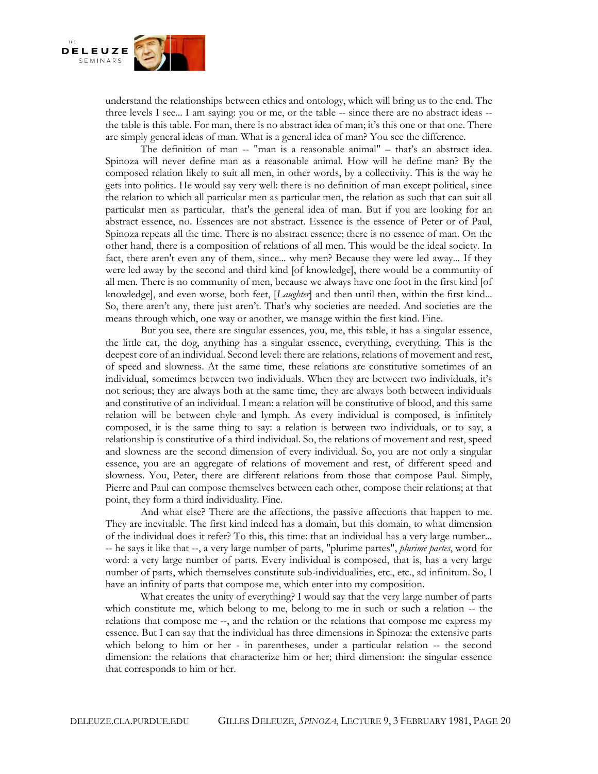

understand the relationships between ethics and ontology, which will bring us to the end. The three levels I see... I am saying: you or me, or the table -- since there are no abstract ideas - the table is this table. For man, there is no abstract idea of man; it's this one or that one. There are simply general ideas of man. What is a general idea of man? You see the difference.

The definition of man -- "man is a reasonable animal" – that's an abstract idea. Spinoza will never define man as a reasonable animal. How will he define man? By the composed relation likely to suit all men, in other words, by a collectivity. This is the way he gets into politics. He would say very well: there is no definition of man except political, since the relation to which all particular men as particular men, the relation as such that can suit all particular men as particular, that's the general idea of man. But if you are looking for an abstract essence, no. Essences are not abstract. Essence is the essence of Peter or of Paul, Spinoza repeats all the time. There is no abstract essence; there is no essence of man. On the other hand, there is a composition of relations of all men. This would be the ideal society. In fact, there aren't even any of them, since... why men? Because they were led away... If they were led away by the second and third kind [of knowledge], there would be a community of all men. There is no community of men, because we always have one foot in the first kind [of knowledge], and even worse, both feet, [*Laughter*] and then until then, within the first kind... So, there aren't any, there just aren't. That's why societies are needed. And societies are the means through which, one way or another, we manage within the first kind. Fine.

But you see, there are singular essences, you, me, this table, it has a singular essence, the little cat, the dog, anything has a singular essence, everything, everything. This is the deepest core of an individual. Second level: there are relations, relations of movement and rest, of speed and slowness. At the same time, these relations are constitutive sometimes of an individual, sometimes between two individuals. When they are between two individuals, it's not serious; they are always both at the same time, they are always both between individuals and constitutive of an individual. I mean: a relation will be constitutive of blood, and this same relation will be between chyle and lymph. As every individual is composed, is infinitely composed, it is the same thing to say: a relation is between two individuals, or to say, a relationship is constitutive of a third individual. So, the relations of movement and rest, speed and slowness are the second dimension of every individual. So, you are not only a singular essence, you are an aggregate of relations of movement and rest, of different speed and slowness. You, Peter, there are different relations from those that compose Paul. Simply, Pierre and Paul can compose themselves between each other, compose their relations; at that point, they form a third individuality. Fine.

And what else? There are the affections, the passive affections that happen to me. They are inevitable. The first kind indeed has a domain, but this domain, to what dimension of the individual does it refer? To this, this time: that an individual has a very large number... -- he says it like that --, a very large number of parts, "plurime partes", *plurime partes*, word for word: a very large number of parts. Every individual is composed, that is, has a very large number of parts, which themselves constitute sub-individualities, etc., etc., ad infinitum. So, I have an infinity of parts that compose me, which enter into my composition.

What creates the unity of everything? I would say that the very large number of parts which constitute me, which belong to me, belong to me in such or such a relation -- the relations that compose me --, and the relation or the relations that compose me express my essence. But I can say that the individual has three dimensions in Spinoza: the extensive parts which belong to him or her - in parentheses, under a particular relation -- the second dimension: the relations that characterize him or her; third dimension: the singular essence that corresponds to him or her.